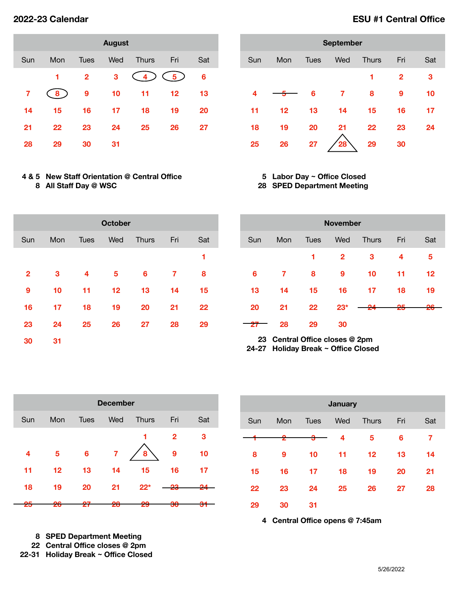| <b>August</b> |     |              |     |              |     |     |  |  |  |  |
|---------------|-----|--------------|-----|--------------|-----|-----|--|--|--|--|
| Sun           | Mon | Tues         | Wed | <b>Thurs</b> | Fri | Sat |  |  |  |  |
|               | 1   | $\mathbf{2}$ | 3   | 4            | 5.  | 6   |  |  |  |  |
| 7             | 8.  | 9            | 10  | 11           | 12  | 13  |  |  |  |  |
| 14            | 15  | 16           | 17  | 18           | 19  | 20  |  |  |  |  |
| 21            | 22  | 23           | 24  | 25           | 26  | 27  |  |  |  |  |
| 28            | 29  | 30           | 31  |              |     |     |  |  |  |  |

## **4 & 5 New Staff Orientation @ Central Office All Staff Day @ WSC**

| <b>September</b> |     |             |     |              |              |     |  |  |  |  |
|------------------|-----|-------------|-----|--------------|--------------|-----|--|--|--|--|
| Sun              | Mon | <b>Tues</b> | Wed | <b>Thurs</b> | Fri          | Sat |  |  |  |  |
|                  |     |             |     | 1            | $\mathbf{2}$ | 3   |  |  |  |  |
| 4                |     | 6           | 7   | 8            | 9            | 10  |  |  |  |  |
| 11               | 12  | 13          | 14  | 15           | 16           | 17  |  |  |  |  |
| 18               | 19  | 20          | 21  | 22           | 23           | 24  |  |  |  |  |
| 25               | 26  | 27          | 28  | 29           | 30           |     |  |  |  |  |

### **Labor Day ~ Office Closed SPED Department Meeting**

| <b>October</b> |     |             |     |              |     |     |  |  |
|----------------|-----|-------------|-----|--------------|-----|-----|--|--|
| Sun            | Mon | <b>Tues</b> | Wed | <b>Thurs</b> | Fri | Sat |  |  |
|                |     |             |     |              |     | 1   |  |  |
| $\overline{2}$ | 3   | 4           | 5   | 6            | 7   | 8   |  |  |
| 9              | 10  | 11          | 12  | 13           | 14  | 15  |  |  |
| 16             | 17  | 18          | 19  | 20           | 21  | 22  |  |  |
| 23             | 24  | 25          | 26  | 27           | 28  | 29  |  |  |
| 30             | 31  |             |     |              |     |     |  |  |

| <b>November</b> |     |             |              |              |               |         |  |  |  |
|-----------------|-----|-------------|--------------|--------------|---------------|---------|--|--|--|
| Sun             | Mon | <b>Tues</b> | Wed          | <b>Thurs</b> | Fri           | Sat     |  |  |  |
|                 |     | 1           | $\mathbf{2}$ | 3            | 4             | 5       |  |  |  |
| 6               | 7   | 8           | 9            | 10           | 11            | $12 \,$ |  |  |  |
| 13              | 14  | 15          | 16           | 17           | 18            | 19      |  |  |  |
| 20              | 21  | 22          | $23*$        | ΩΔ           | <del>25</del> | 26      |  |  |  |
|                 | 28  | 29          | 30           |              |               |         |  |  |  |

 **Central Office closes @ 2pm 24-27 Holiday Break ~ Office Closed**

| <b>December</b> |          |             |          |              |              |        |  |  |  |
|-----------------|----------|-------------|----------|--------------|--------------|--------|--|--|--|
| Sun             | Mon      | <b>Tues</b> | Wed      | <b>Thurs</b> | Fri          | Sat    |  |  |  |
|                 |          |             |          |              | $\mathbf{2}$ | 3      |  |  |  |
| 4               | 5        | 6           | 7        | 8            | 9            | 10     |  |  |  |
| 11              | 12       | 13          | 14       | 15           | 16           | 17     |  |  |  |
| 18              | 19       | 20          | 21       | $22*$        |              |        |  |  |  |
| nΕ<br>ZJ        | nΩ<br>zυ | כמ<br>41    | ററ<br>zo | 29           | ഹ<br>აण      | n<br>J |  |  |  |

 **SPED Department Meeting Central Office closes @ 2pm 22-31 Holiday Break ~ Office Closed**

| <b>January</b> |     |             |     |              |     |     |  |  |
|----------------|-----|-------------|-----|--------------|-----|-----|--|--|
| Sun            | Mon | <b>Tues</b> | Wed | <b>Thurs</b> | Fri | Sat |  |  |
|                | 2   | 3           | 4   | 5            | 6   | 7   |  |  |
| 8              | 9   | 10          | 11  | 12           | 13  | 14  |  |  |
| 15             | 16  | 17          | 18  | 19           | 20  | 21  |  |  |
| 22             | 23  | 24          | 25  | 26           | 27  | 28  |  |  |
| 29             | 30  | 31          |     |              |     |     |  |  |

**Central Office opens @ 7:45am** 

# **2022-23 Calendar ESU #1 Central Office**